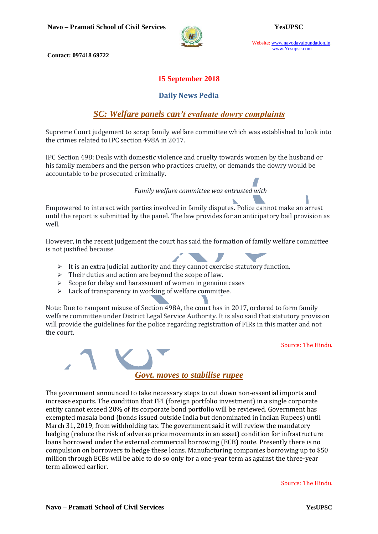

Website: www.navodayafoundation.in, www.Yesupsc.com

**Contact: 097418 69722**

### **15 September 2018**

### **Daily News Pedia**

### *SC: Welfare panels can't evaluate dowry complaints*

Supreme Court judgement to scrap family welfare committee which was established to look into the crimes related to IPC section 498A in 2017.

IPC Section 498: Deals with domestic violence and cruelty towards women by the husband or his family members and the person who practices cruelty, or demands the dowry would be accountable to be prosecuted criminally.

*Family welfare committee was entrusted with*

Empowered to interact with parties involved in family disputes. Police cannot make an arrest until the report is submitted by the panel. The law provides for an anticipatory bail provision as well.

However, in the recent judgement the court has said the formation of family welfare committee is not justified because.

- $\triangleright$  It is an extra judicial authority and they cannot exercise statutory function.
- $\triangleright$  Their duties and action are beyond the scope of law.
- $\triangleright$  Scope for delay and harassment of women in genuine cases
- $\triangleright$  Lack of transparency in working of welfare committee.

Note: Due to rampant misuse of Section 498A, the court has in 2017, ordered to form family welfare committee under District Legal Service Authority. It is also said that statutory provision will provide the guidelines for the police regarding registration of FIRs in this matter and not the court.

Source: The Hindu.



The government announced to take necessary steps to cut down non-essential imports and increase exports. The condition that FPI (foreign portfolio investment) in a single corporate entity cannot exceed 20% of its corporate bond portfolio will be reviewed. Government has exempted masala bond (bonds issued outside India but denominated in Indian Rupees) until March 31, 2019, from withholding tax. The government said it will review the mandatory hedging (reduce the risk of adverse price movements in an asset) condition for infrastructure loans borrowed under the external commercial borrowing (ECB) route. Presently there is no compulsion on borrowers to hedge these loans. Manufacturing companies borrowing up to \$50 million through ECBs will be able to do so only for a one-year term as against the three-year term allowed earlier.

Source: The Hindu.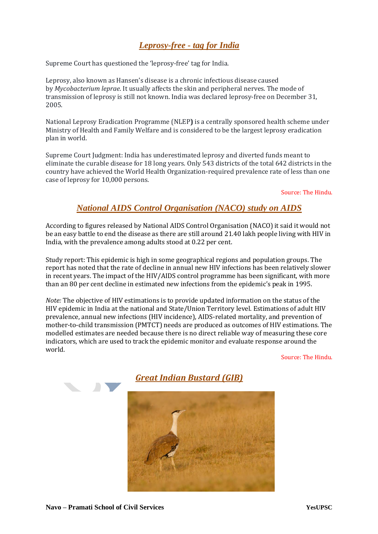# *[Leprosy-free](https://www.thehindu.com/todays-paper/tp-national/sc-questions-leprosy-free-tag-for-india/article24951096.ece) - tag for India*

Supreme Court has questioned the 'leprosy-free' tag for India.

Leprosy, also known as Hansen's disease is a chronic infectious disease caused by *Mycobacterium leprae*. It usually affects the skin and peripheral nerves. The mode of transmission of leprosy is still not known. India was declared leprosy-free on December 31, 2005.

National Leprosy Eradication Programme (NLEP**)** is a centrally sponsored health scheme under Ministry of Health and Family Welfare and is considered to be the largest leprosy eradication plan in world.

Supreme Court Judgment: India has underestimated leprosy and diverted funds meant to eliminate the curable disease for 18 long years. Only 543 districts of the total 642 districts in the country have achieved the World Health Organization-required prevalence rate of less than one case of leprosy for 10,000 persons.

Source: The Hindu.

## *National AIDS Control Organisation (NACO) study on AIDS*

According to figures released by National AIDS Control Organisation (NACO) it said it would not be an easy battle to end the disease as there are still around 21.40 lakh people living with HIV in India, with the prevalence among adults stood at 0.22 per cent.

Study report: This epidemic is high in some geographical regions and population groups. The report has noted that the rate of decline in annual new HIV infections has been relatively slower in recent years. The impact of the HIV/AIDS control programme has been significant, with more than an 80 per cent decline in estimated new infections from the epidemic's peak in 1995.

*Note:* The objective of HIV estimations is to provide updated information on the status of the HIV epidemic in India at the national and State/Union Territory level. Estimations of adult HIV prevalence, annual new infections (HIV incidence), AIDS-related mortality, and prevention of mother-to-child transmission (PMTCT) needs are produced as outcomes of HIV estimations. The modelled estimates are needed because there is no direct reliable way of measuring these core indicators, which are used to track the epidemic monitor and evaluate response around the world.

Source: The Hindu.



# *[Great Indian Bustard \(GIB\)](https://www.livemint.com/Leisure/aE08dRPnA2iRRIOiVD7rAO/The-Great-Indian-Bustards-last-sigh.html)*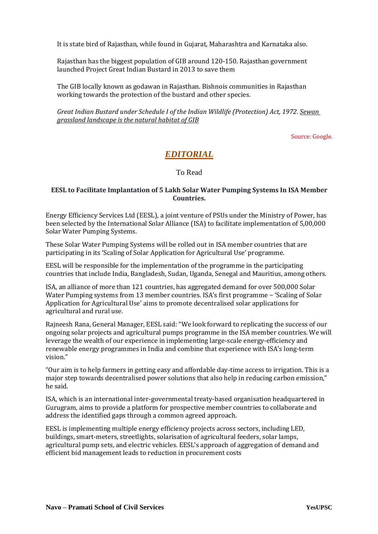It is state bird of Rajasthan, while found in Gujarat, Maharashtra and Karnataka also.

Rajasthan has the biggest population of GIB around 120-150. Rajasthan government launched Project Great Indian Bustard in 2013 to save them

The GIB locally known as godawan in Rajasthan. Bishnois communities in Rajasthan working towards the protection of the bustard and other species.

*Great Indian Bustard under Schedule I of the Indian Wildlife (Protection) Act, 1972. Sewan grassland landscape is the natural habitat of GIB*

Source: Google.

## *EDITORIAL*

To Read

#### **EESL to Facilitate Implantation of 5 Lakh Solar Water Pumping Systems In ISA Member Countries.**

Energy Efficiency Services Ltd (EESL), a joint venture of PSUs under the Ministry of Power, has been selected by the International Solar Alliance (ISA) to facilitate implementation of 5,00,000 Solar Water Pumping Systems.

These Solar Water Pumping Systems will be rolled out in ISA member countries that are participating in its 'Scaling of Solar Application for Agricultural Use' programme.

EESL will be responsible for the implementation of the programme in the participating countries that include India, Bangladesh, Sudan, Uganda, Senegal and Mauritius, among others.

ISA, an alliance of more than 121 countries, has aggregated demand for over 500,000 Solar Water Pumping systems from 13 member countries. ISA's first programme − 'Scaling of Solar Application for Agricultural Use' aims to promote decentralised solar applications for agricultural and rural use.

Rajneesh Rana, General Manager, EESL said: "We look forward to replicating the success of our ongoing solar projects and agricultural pumps programme in the ISA member countries. We will leverage the wealth of our experience in implementing large-scale energy-efficiency and renewable energy programmes in India and combine that experience with ISA's long-term vision."

"Our aim is to help farmers in getting easy and affordable day-time access to irrigation. This is a major step towards decentralised power solutions that also help in reducing carbon emission," he said.

ISA, which is an international inter-governmental treaty-based organisation headquartered in Gurugram, aims to provide a platform for prospective member countries to collaborate and address the identified gaps through a common agreed approach.

EESL is implementing multiple energy efficiency projects across sectors, including LED, buildings, smart-meters, streetlights, solarisation of agricultural feeders, solar lamps, agricultural pump sets, and electric vehicles. EESL's approach of aggregation of demand and efficient bid management leads to reduction in procurement costs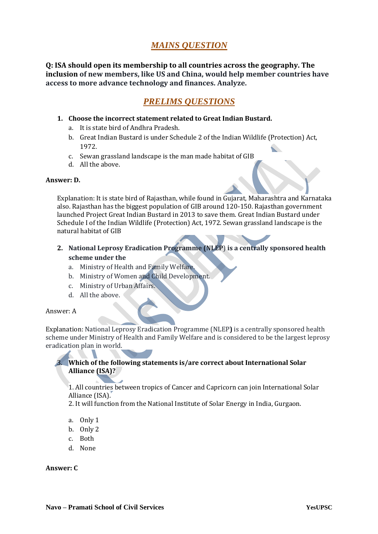# *MAINS QUESTION*

**Q: ISA should open its membership to all countries across the geography. The inclusion of new members, like US and China, would help member countries have access to more advance technology and finances. Analyze.**

## *PRELIMS QUESTIONS*

- **1. Choose the incorrect statement related to Great Indian Bustard.**
	- a. It is state bird of Andhra Pradesh.
	- b. Great Indian Bustard is under Schedule 2 of the Indian Wildlife (Protection) Act, 1972.
	- c. Sewan grassland landscape is the man made habitat of GIB
	- d. All the above.

#### **Answer: D.**

Explanation: It is state bird of Rajasthan, while found in Gujarat, Maharashtra and Karnataka also. Rajasthan has the biggest population of GIB around 120-150. Rajasthan government launched Project Great Indian Bustard in 2013 to save them. Great Indian Bustard under Schedule I of the Indian Wildlife (Protection) Act, 1972. Sewan grassland landscape is the natural habitat of GIB

- **2. National Leprosy Eradication Programme (NLEP**) **is a centrally sponsored health scheme under the**
	- a. Ministry of Health and Family Welfare.
	- b. Ministry of Women and Child Development.
	- c. Ministry of Urban Affairs.
	- d. All the above.

#### Answer: A

Explanation: National Leprosy Eradication Programme (NLEP**)** is a centrally sponsored health scheme under Ministry of Health and Family Welfare and is considered to be the largest leprosy eradication plan in world.

### 3. **Which of the following statements is/are correct about International Solar Alliance (ISA)?**

1. All countries between tropics of Cancer and Capricorn can join International Solar Alliance (ISA).

2. It will function from the National Institute of Solar Energy in India, Gurgaon.

- a. Only 1
- b. Only 2
- c. Both
- d. None

#### **Answer: C**